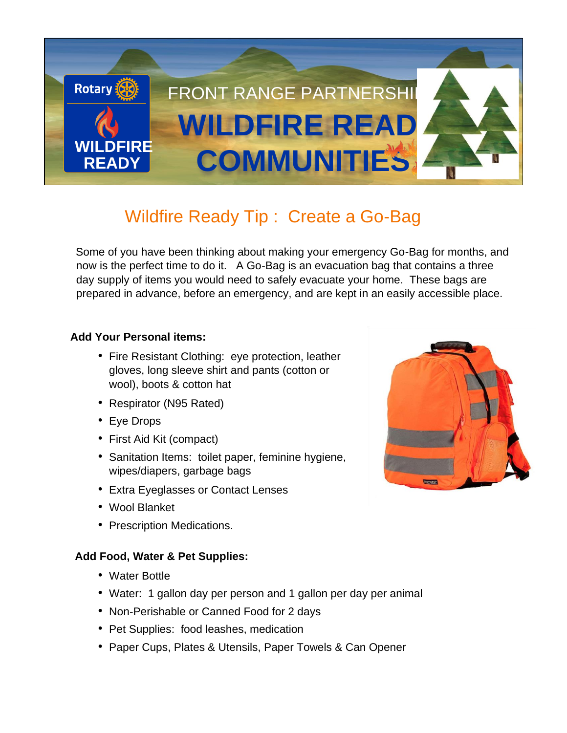

# Wildfire Ready Tip : Create a Go-Bag

Some of you have been thinking about making your emergency Go-Bag for months, and now is the perfect time to do it. A Go-Bag is an evacuation bag that contains a three day supply of items you would need to safely evacuate your home. These bags are prepared in advance, before an emergency, and are kept in an easily accessible place.

## **Add Your Personal items:**

- Fire Resistant Clothing: eye protection, leather gloves, long sleeve shirt and pants (cotton or wool), boots & cotton hat
- Respirator (N95 Rated)
- Eye Drops
- First Aid Kit (compact)
- Sanitation Items: toilet paper, feminine hygiene, wipes/diapers, garbage bags
- Extra Eyeglasses or Contact Lenses
- Wool Blanket
- Prescription Medications.

## **Add Food, Water & Pet Supplies:**

- Water Bottle
- Water: 1 gallon day per person and 1 gallon per day per animal
- Non-Perishable or Canned Food for 2 days
- Pet Supplies: food leashes, medication
- Paper Cups, Plates & Utensils, Paper Towels & Can Opener